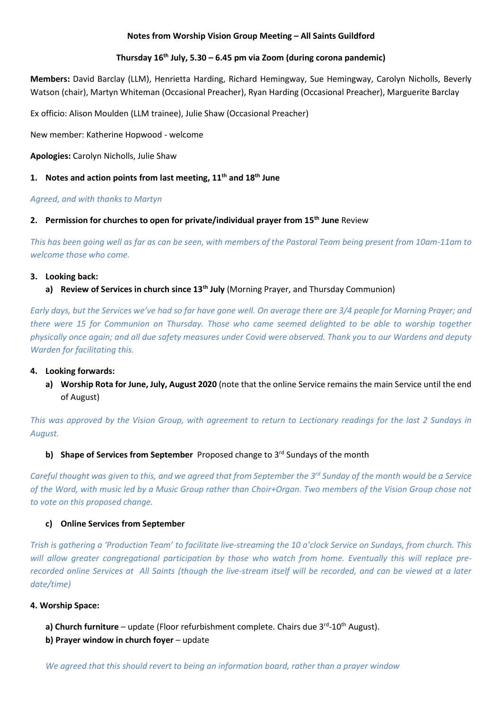# **Notes from Worship Vision Group Meeting – All Saints Guildford**

## **Thursday 16 th July, 5.30 – 6.45 pm via Zoom (during corona pandemic)**

**Members:** David Barclay (LLM), Henrietta Harding, Richard Hemingway, Sue Hemingway, Carolyn Nicholls, Beverly Watson (chair), Martyn Whiteman (Occasional Preacher), Ryan Harding (Occasional Preacher), Marguerite Barclay

Ex officio: Alison Moulden (LLM trainee), Julie Shaw (Occasional Preacher)

New member: Katherine Hopwood - welcome

**Apologies:** Carolyn Nicholls, Julie Shaw

## **1. Notes and action points from last meeting, 11th and 18th June**

#### *Agreed, and with thanks to Martyn*

#### **2. Permission for churches to open for private/individual prayer from 15th June** Review

*This has been going well as far as can be seen, with members of the Pastoral Team being present from 10am-11am to welcome those who come.* 

#### **3. Looking back:**

## **a) Review of Services in church since 13th July** (Morning Prayer, and Thursday Communion)

*Early days, but the Services we've had so far have gone well. On average there are 3/4 people for Morning Prayer; and there were 15 for Communion on Thursday. Those who came seemed delighted to be able to worship together physically once again; and all due safety measures under Covid were observed. Thank you to our Wardens and deputy Warden for facilitating this.* 

#### **4. Looking forwards:**

**a) Worship Rota for June, July, August 2020** (note that the online Service remains the main Service until the end of August)

*This was approved by the Vision Group, with agreement to return to Lectionary readings for the last 2 Sundays in August.*

#### **b) Shape of Services from September** Proposed change to 3rd Sundays of the month

*Careful thought was given to this, and we agreed that from September the 3rd Sunday of the month would be a Service of the Word, with music led by a Music Group rather than Choir+Organ. Two members of the Vision Group chose not to vote on this proposed change.* 

#### **c) Online Services from September**

*Trish is gathering a 'Production Team' to facilitate live-streaming the 10 o'clock Service on Sundays, from church. This*  will allow greater congregational participation by those who watch from home. Eventually this will replace pre*recorded online Services at All Saints (though the live-stream itself will be recorded, and can be viewed at a later date/time)*

#### **4. Worship Space:**

- a) Church furniture update (Floor refurbishment complete. Chairs due 3<sup>rd</sup>-10<sup>th</sup> August).
- **b) Prayer window in church foyer** update